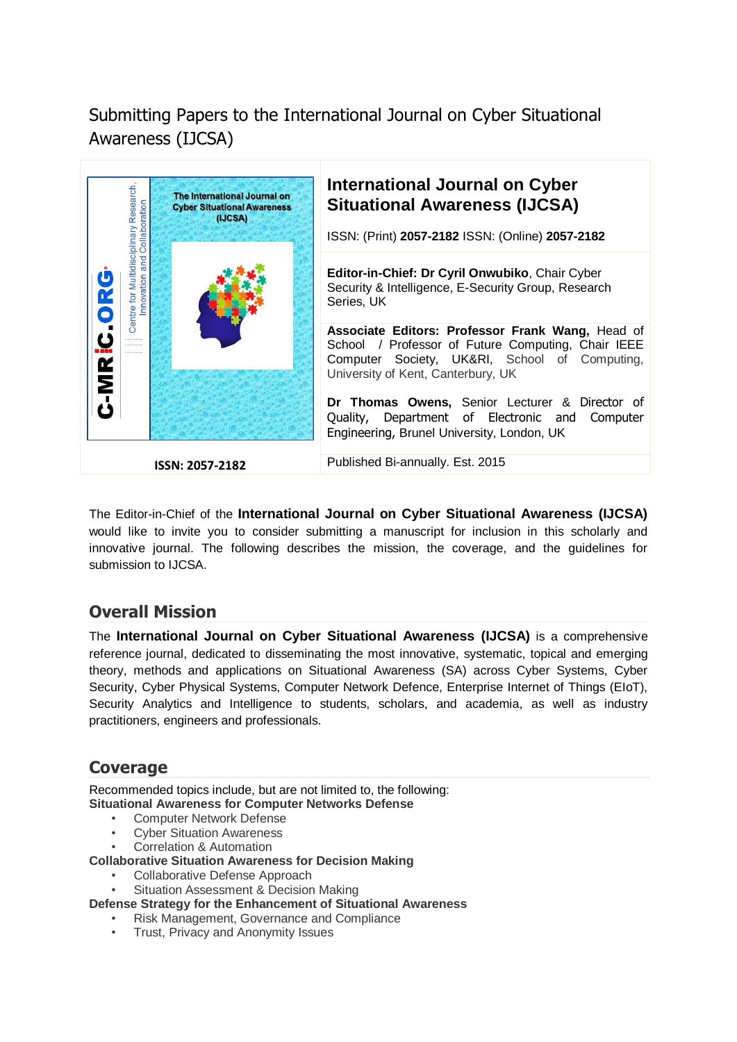# Submitting Papers to the International Journal on Cyber Situational Awareness (IJCSA)



The Editor-in-Chief of the **International Journal on Cyber Situational Awareness (IJCSA)** would like to invite you to consider submitting a manuscript for inclusion in this scholarly and innovative journal. The following describes the mission, the coverage, and the guidelines for submission to IJCSA.

## **Overall Mission**

The **International Journal on Cyber Situational Awareness (IJCSA)** is a comprehensive reference journal, dedicated to disseminating the most innovative, systematic, topical and emerging theory, methods and applications on Situational Awareness (SA) across Cyber Systems, Cyber Security, Cyber Physical Systems, Computer Network Defence, Enterprise Internet of Things (EIoT), Security Analytics and Intelligence to students, scholars, and academia, as well as industry practitioners, engineers and professionals.

## **Coverage**

Recommended topics include, but are not limited to, the following: **Situational Awareness for Computer Networks Defense**

- Computer Network Defense
- **Cyber Situation Awareness**
- Correlation & Automation

**Collaborative Situation Awareness for Decision Making**

- Collaborative Defense Approach
- Situation Assessment & Decision Making
- **Defense Strategy for the Enhancement of Situational Awareness**
	- Risk Management, Governance and Compliance
	- Trust, Privacy and Anonymity Issues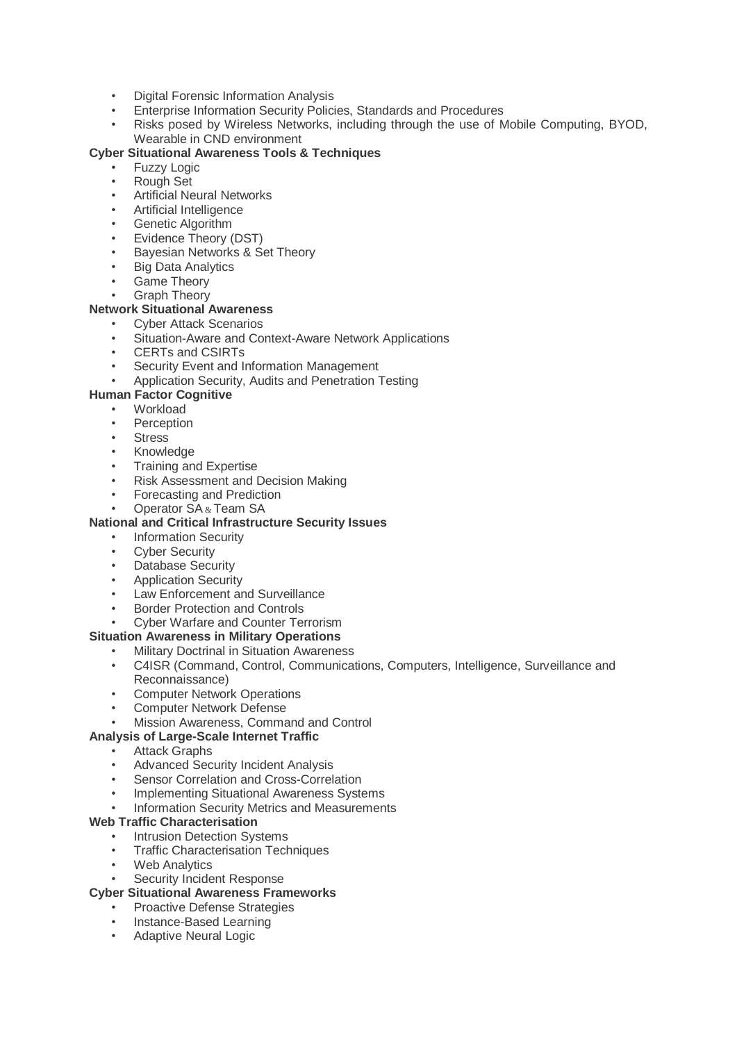- Digital Forensic Information Analysis
- Enterprise Information Security Policies, Standards and Procedures
- Risks posed by Wireless Networks, including through the use of Mobile Computing, BYOD, Wearable in CND environment

#### **Cyber Situational Awareness Tools & Techniques**

- **Fuzzy Logic**
- Rough Set
- Artificial Neural Networks
- Artificial Intelligence
- **Genetic Algorithm**
- Evidence Theory (DST)
- Bayesian Networks & Set Theory
- **Big Data Analytics**
- Game Theory
- **Graph Theory**

#### **Network Situational Awareness**

- Cyber Attack Scenarios
- Situation-Aware and Context-Aware Network Applications
- CERTs and CSIRTs
- Security Event and Information Management
- Application Security, Audits and Penetration Testing

### **Human Factor Cognitive**

- **Workload**
- **Perception**
- **Stress**
- Knowledge
- **Training and Expertise**
- Risk Assessment and Decision Making
- Forecasting and Prediction
- Operator SA & Team SA

#### **National and Critical Infrastructure Security Issues**

- **Information Security**
- **Cyber Security**
- Database Security
- Application Security
- Law Enforcement and Surveillance
- **Border Protection and Controls**
- Cyber Warfare and Counter Terrorism

#### **Situation Awareness in Military Operations**

- Military Doctrinal in Situation Awareness
- C4ISR (Command, Control, Communications, Computers, Intelligence, Surveillance and Reconnaissance)
- **Computer Network Operations**
- Computer Network Defense
- Mission Awareness, Command and Control

#### **Analysis of Large-Scale Internet Traffic**

- Attack Graphs
- Advanced Security Incident Analysis
- Sensor Correlation and Cross-Correlation
- Implementing Situational Awareness Systems
- Information Security Metrics and Measurements

#### **Web Traffic Characterisation**

- **Intrusion Detection Systems**
- Traffic Characterisation Techniques
- **Web Analytics**
- Security Incident Response

#### **Cyber Situational Awareness Frameworks**

- Proactive Defense Strategies
- Instance-Based Learning
- Adaptive Neural Logic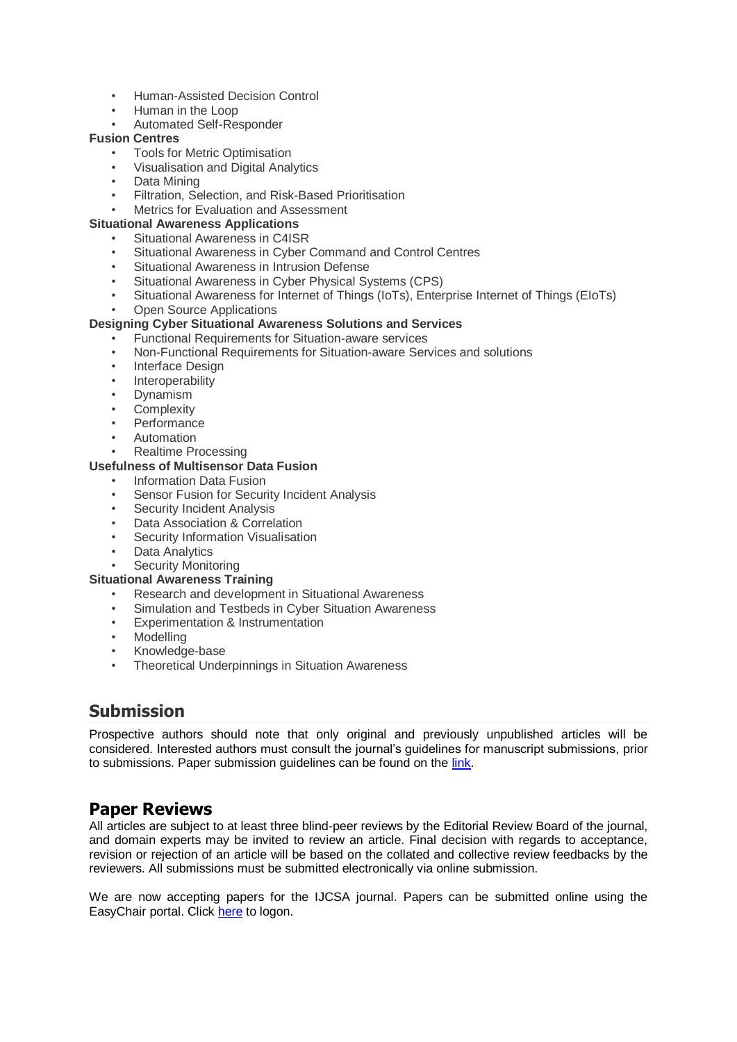- Human-Assisted Decision Control
- Human in the Loop
- Automated Self-Responder

#### **Fusion Centres**

- Tools for Metric Optimisation
- Visualisation and Digital Analytics
- Data Mining
- Filtration, Selection, and Risk-Based Prioritisation
- Metrics for Evaluation and Assessment

#### **Situational Awareness Applications**

- Situational Awareness in C4ISR
- Situational Awareness in Cyber Command and Control Centres
- Situational Awareness in Intrusion Defense
- Situational Awareness in Cyber Physical Systems (CPS)
- Situational Awareness for Internet of Things (IoTs), Enterprise Internet of Things (EIoTs)
- Open Source Applications

### **Designing Cyber Situational Awareness Solutions and Services**

- Functional Requirements for Situation-aware services
- Non-Functional Requirements for Situation-aware Services and solutions
- Interface Design
- **Interoperability**
- Dynamism
- **Complexity**
- **Performance**
- Automation
- Realtime Processing

#### **Usefulness of Multisensor Data Fusion**

- Information Data Fusion
- Sensor Fusion for Security Incident Analysis
- Security Incident Analysis
- Data Association & Correlation
- Security Information Visualisation
- **Data Analytics**
- Security Monitoring

#### **Situational Awareness Training**

- Research and development in Situational Awareness
- Simulation and Testbeds in Cyber Situation Awareness
- Experimentation & Instrumentation
- **Modelling**
- Knowledge-base
- **Theoretical Underpinnings in Situation Awareness**

## **Submission**

Prospective authors should note that only original and previously unpublished articles will be considered. Interested authors must consult the journal's guidelines for manuscript submissions, prior to submissions. Paper submission guidelines can be found on the [link.](http://www.c-mric.org/IJCSA%20Journal%20PaperTemplate.docx)

### **Paper Reviews**

All articles are subject to at least three blind-peer reviews by the Editorial Review Board of the journal, and domain experts may be invited to review an article. Final decision with regards to acceptance, revision or rejection of an article will be based on the collated and collective review feedbacks by the reviewers. All submissions must be submitted electronically via online submission.

We are now accepting papers for the IJCSA journal. Papers can be submitted online using the EasyChair portal. Click [here](https://easychair.org/conferences/?conf=ijcsa2015) to logon.